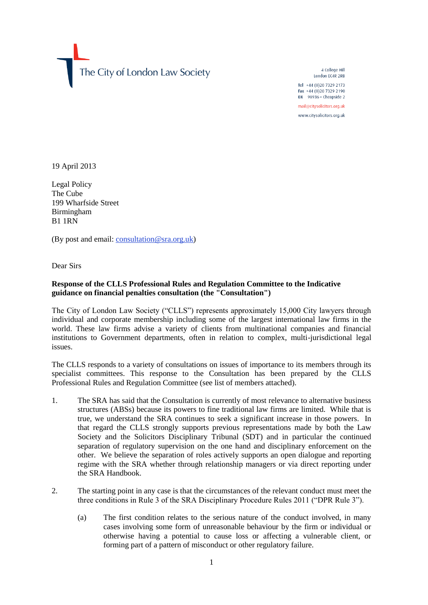The City of London Law Society

4 College Hill London EC4R 2RB Tel +44 (0)20 7329 2173 Fax +44 (0)20 7329 2190 DX 98936 - Cheapside 2 mail@citysolicitors.org.uk www.citysolicitors.org.uk

19 April 2013

Legal Policy The Cube 199 Wharfside Street Birmingham B1 1RN

(By post and email: [consultation@sra.org.uk\)](mailto:consultation@sra.org.uk)

Dear Sirs

## **Response of the CLLS Professional Rules and Regulation Committee to the Indicative guidance on financial penalties consultation (the "Consultation")**

The City of London Law Society ("CLLS") represents approximately 15,000 City lawyers through individual and corporate membership including some of the largest international law firms in the world. These law firms advise a variety of clients from multinational companies and financial institutions to Government departments, often in relation to complex, multi-jurisdictional legal issues.

The CLLS responds to a variety of consultations on issues of importance to its members through its specialist committees. This response to the Consultation has been prepared by the CLLS Professional Rules and Regulation Committee (see list of members attached).

- 1. The SRA has said that the Consultation is currently of most relevance to alternative business structures (ABSs) because its powers to fine traditional law firms are limited. While that is true, we understand the SRA continues to seek a significant increase in those powers. In that regard the CLLS strongly supports previous representations made by both the Law Society and the Solicitors Disciplinary Tribunal (SDT) and in particular the continued separation of regulatory supervision on the one hand and disciplinary enforcement on the other. We believe the separation of roles actively supports an open dialogue and reporting regime with the SRA whether through relationship managers or via direct reporting under the SRA Handbook.
- 2. The starting point in any case is that the circumstances of the relevant conduct must meet the three conditions in Rule 3 of the SRA Disciplinary Procedure Rules 2011 ("DPR Rule 3").
	- (a) The first condition relates to the serious nature of the conduct involved, in many cases involving some form of unreasonable behaviour by the firm or individual or otherwise having a potential to cause loss or affecting a vulnerable client, or forming part of a pattern of misconduct or other regulatory failure.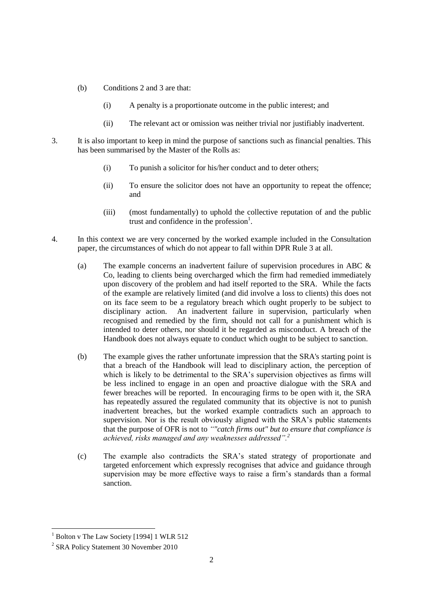- (b) Conditions 2 and 3 are that:
	- (i) A penalty is a proportionate outcome in the public interest; and
	- (ii) The relevant act or omission was neither trivial nor justifiably inadvertent.
- 3. It is also important to keep in mind the purpose of sanctions such as financial penalties. This has been summarised by the Master of the Rolls as:
	- (i) To punish a solicitor for his/her conduct and to deter others;
	- (ii) To ensure the solicitor does not have an opportunity to repeat the offence; and
	- (iii) (most fundamentally) to uphold the collective reputation of and the public trust and confidence in the profession<sup>1</sup>.
- 4. In this context we are very concerned by the worked example included in the Consultation paper, the circumstances of which do not appear to fall within DPR Rule 3 at all.
	- (a) The example concerns an inadvertent failure of supervision procedures in ABC & Co, leading to clients being overcharged which the firm had remedied immediately upon discovery of the problem and had itself reported to the SRA. While the facts of the example are relatively limited (and did involve a loss to clients) this does not on its face seem to be a regulatory breach which ought properly to be subject to disciplinary action. An inadvertent failure in supervision, particularly when recognised and remedied by the firm, should not call for a punishment which is intended to deter others, nor should it be regarded as misconduct. A breach of the Handbook does not always equate to conduct which ought to be subject to sanction.
	- (b) The example gives the rather unfortunate impression that the SRA's starting point is that a breach of the Handbook will lead to disciplinary action, the perception of which is likely to be detrimental to the SRA's supervision objectives as firms will be less inclined to engage in an open and proactive dialogue with the SRA and fewer breaches will be reported. In encouraging firms to be open with it, the SRA has repeatedly assured the regulated community that its objective is not to punish inadvertent breaches, but the worked example contradicts such an approach to supervision. Nor is the result obviously aligned with the SRA's public statements that the purpose of OFR is not to *""catch firms out" but to ensure that compliance is achieved, risks managed and any weaknesses addressed".<sup>2</sup>*
	- (c) The example also contradicts the SRA's stated strategy of proportionate and targeted enforcement which expressly recognises that advice and guidance through supervision may be more effective ways to raise a firm's standards than a formal sanction.

1

<sup>&</sup>lt;sup>1</sup> Bolton v The Law Society [1994] 1 WLR 512

<sup>&</sup>lt;sup>2</sup> SRA Policy Statement 30 November 2010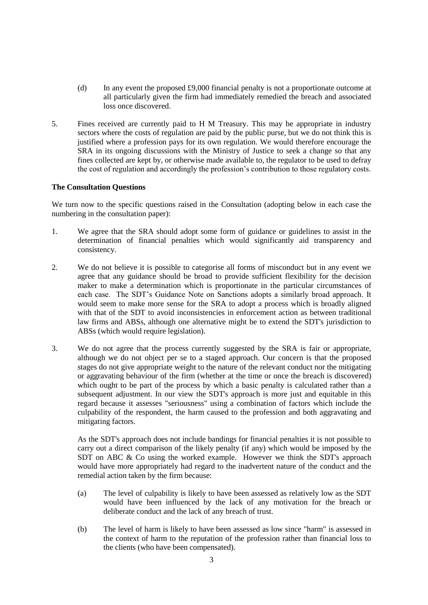- (d) In any event the proposed £9,000 financial penalty is not a proportionate outcome at all particularly given the firm had immediately remedied the breach and associated loss once discovered.
- 5. Fines received are currently paid to H M Treasury. This may be appropriate in industry sectors where the costs of regulation are paid by the public purse, but we do not think this is justified where a profession pays for its own regulation. We would therefore encourage the SRA in its ongoing discussions with the Ministry of Justice to seek a change so that any fines collected are kept by, or otherwise made available to, the regulator to be used to defray the cost of regulation and accordingly the profession's contribution to those regulatory costs.

## **The Consultation Questions**

We turn now to the specific questions raised in the Consultation (adopting below in each case the numbering in the consultation paper):

- 1. We agree that the SRA should adopt some form of guidance or guidelines to assist in the determination of financial penalties which would significantly aid transparency and consistency.
- 2. We do not believe it is possible to categorise all forms of misconduct but in any event we agree that any guidance should be broad to provide sufficient flexibility for the decision maker to make a determination which is proportionate in the particular circumstances of each case. The SDT's Guidance Note on Sanctions adopts a similarly broad approach. It would seem to make more sense for the SRA to adopt a process which is broadly aligned with that of the SDT to avoid inconsistencies in enforcement action as between traditional law firms and ABSs, although one alternative might be to extend the SDT's jurisdiction to ABSs (which would require legislation).
- 3. We do not agree that the process currently suggested by the SRA is fair or appropriate, although we do not object per se to a staged approach. Our concern is that the proposed stages do not give appropriate weight to the nature of the relevant conduct nor the mitigating or aggravating behaviour of the firm (whether at the time or once the breach is discovered) which ought to be part of the process by which a basic penalty is calculated rather than a subsequent adjustment. In our view the SDT's approach is more just and equitable in this regard because it assesses "seriousness" using a combination of factors which include the culpability of the respondent, the harm caused to the profession and both aggravating and mitigating factors.

As the SDT's approach does not include bandings for financial penalties it is not possible to carry out a direct comparison of the likely penalty (if any) which would be imposed by the SDT on ABC & Co using the worked example. However we think the SDT's approach would have more appropriately had regard to the inadvertent nature of the conduct and the remedial action taken by the firm because:

- (a) The level of culpability is likely to have been assessed as relatively low as the SDT would have been influenced by the lack of any motivation for the breach or deliberate conduct and the lack of any breach of trust.
- (b) The level of harm is likely to have been assessed as low since "harm" is assessed in the context of harm to the reputation of the profession rather than financial loss to the clients (who have been compensated).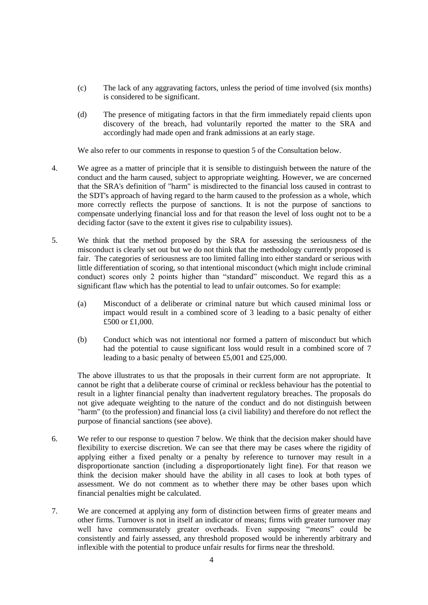- (c) The lack of any aggravating factors, unless the period of time involved (six months) is considered to be significant.
- (d) The presence of mitigating factors in that the firm immediately repaid clients upon discovery of the breach, had voluntarily reported the matter to the SRA and accordingly had made open and frank admissions at an early stage.

We also refer to our comments in response to question 5 of the Consultation below.

- 4. We agree as a matter of principle that it is sensible to distinguish between the nature of the conduct and the harm caused, subject to appropriate weighting. However, we are concerned that the SRA's definition of "harm" is misdirected to the financial loss caused in contrast to the SDT's approach of having regard to the harm caused to the profession as a whole, which more correctly reflects the purpose of sanctions. It is not the purpose of sanctions to compensate underlying financial loss and for that reason the level of loss ought not to be a deciding factor (save to the extent it gives rise to culpability issues).
- 5. We think that the method proposed by the SRA for assessing the seriousness of the misconduct is clearly set out but we do not think that the methodology currently proposed is fair. The categories of seriousness are too limited falling into either standard or serious with little differentiation of scoring, so that intentional misconduct (which might include criminal conduct) scores only 2 points higher than "standard" misconduct. We regard this as a significant flaw which has the potential to lead to unfair outcomes. So for example:
	- (a) Misconduct of a deliberate or criminal nature but which caused minimal loss or impact would result in a combined score of 3 leading to a basic penalty of either £500 or £1,000.
	- (b) Conduct which was not intentional nor formed a pattern of misconduct but which had the potential to cause significant loss would result in a combined score of 7 leading to a basic penalty of between £5,001 and £25,000.

The above illustrates to us that the proposals in their current form are not appropriate. It cannot be right that a deliberate course of criminal or reckless behaviour has the potential to result in a lighter financial penalty than inadvertent regulatory breaches. The proposals do not give adequate weighting to the nature of the conduct and do not distinguish between "harm" (to the profession) and financial loss (a civil liability) and therefore do not reflect the purpose of financial sanctions (see above).

- 6. We refer to our response to question 7 below. We think that the decision maker should have flexibility to exercise discretion. We can see that there may be cases where the rigidity of applying either a fixed penalty or a penalty by reference to turnover may result in a disproportionate sanction (including a disproportionately light fine). For that reason we think the decision maker should have the ability in all cases to look at both types of assessment. We do not comment as to whether there may be other bases upon which financial penalties might be calculated.
- 7. We are concerned at applying any form of distinction between firms of greater means and other firms. Turnover is not in itself an indicator of means; firms with greater turnover may well have commensurately greater overheads. Even supposing "*means*" could be consistently and fairly assessed, any threshold proposed would be inherently arbitrary and inflexible with the potential to produce unfair results for firms near the threshold.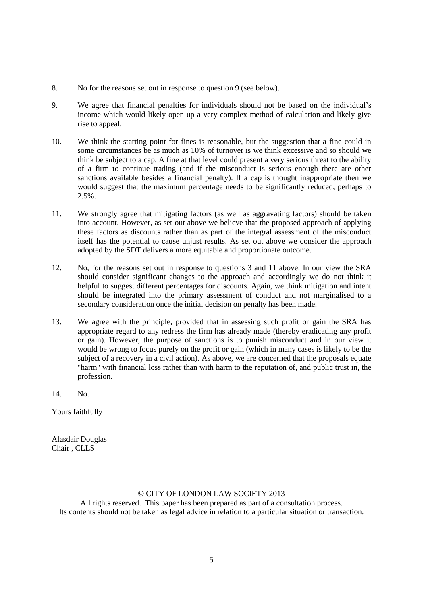- 8. No for the reasons set out in response to question 9 (see below).
- 9. We agree that financial penalties for individuals should not be based on the individual's income which would likely open up a very complex method of calculation and likely give rise to appeal.
- 10. We think the starting point for fines is reasonable, but the suggestion that a fine could in some circumstances be as much as 10% of turnover is we think excessive and so should we think be subject to a cap. A fine at that level could present a very serious threat to the ability of a firm to continue trading (and if the misconduct is serious enough there are other sanctions available besides a financial penalty). If a cap is thought inappropriate then we would suggest that the maximum percentage needs to be significantly reduced, perhaps to 2.5%.
- 11. We strongly agree that mitigating factors (as well as aggravating factors) should be taken into account. However, as set out above we believe that the proposed approach of applying these factors as discounts rather than as part of the integral assessment of the misconduct itself has the potential to cause unjust results. As set out above we consider the approach adopted by the SDT delivers a more equitable and proportionate outcome.
- 12. No, for the reasons set out in response to questions 3 and 11 above. In our view the SRA should consider significant changes to the approach and accordingly we do not think it helpful to suggest different percentages for discounts. Again, we think mitigation and intent should be integrated into the primary assessment of conduct and not marginalised to a secondary consideration once the initial decision on penalty has been made.
- 13. We agree with the principle, provided that in assessing such profit or gain the SRA has appropriate regard to any redress the firm has already made (thereby eradicating any profit or gain). However, the purpose of sanctions is to punish misconduct and in our view it would be wrong to focus purely on the profit or gain (which in many cases is likely to be the subject of a recovery in a civil action). As above, we are concerned that the proposals equate "harm" with financial loss rather than with harm to the reputation of, and public trust in, the profession.
- 14. No.

Yours faithfully

Alasdair Douglas Chair , CLLS

## © CITY OF LONDON LAW SOCIETY 2013

All rights reserved. This paper has been prepared as part of a consultation process. Its contents should not be taken as legal advice in relation to a particular situation or transaction.